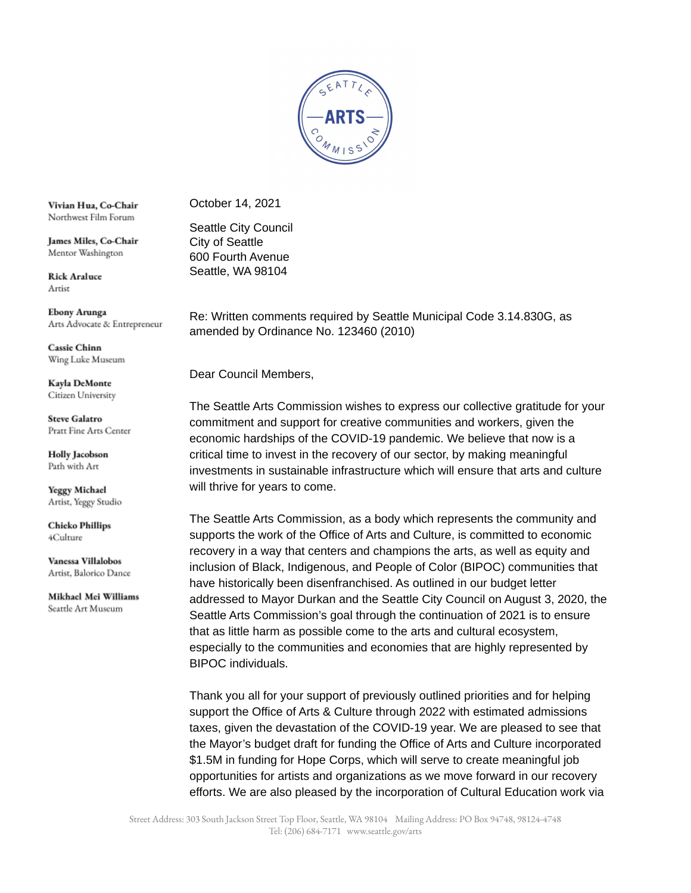

Vivian Hua, Co-Chair Northwest Film Forum

James Miles, Co-Chair Mentor Washington

**Rick Araluce** Artist

Ebony Arunga Arts Advocate & Entrepreneur

**Cassie Chinn** Wing Luke Museum

Kayla DeMonte Citizen University

**Steve Galatro** Pratt Fine Arts Center

**Holly Jacobson** Path with Art

**Yeggy Michael** Artist, Yeggy Studio

**Chicko Phillips** 4Culture

Vanessa Villalobos Artist, Balorico Dance

Mikhael Mei Williams Seattle Art Museum

October 14, 2021

Seattle City Council City of Seattle 600 Fourth Avenue Seattle, WA 98104

Re: Written comments required by Seattle Municipal Code 3.14.830G, as amended by Ordinance No. 123460 (2010)

Dear Council Members,

The Seattle Arts Commission wishes to express our collective gratitude for your commitment and support for creative communities and workers, given the economic hardships of the COVID-19 pandemic. We believe that now is a critical time to invest in the recovery of our sector, by making meaningful investments in sustainable infrastructure which will ensure that arts and culture will thrive for years to come.

The Seattle Arts Commission, as a body which represents the community and supports the work of the Office of Arts and Culture, is committed to economic recovery in a way that centers and champions the arts, as well as equity and inclusion of Black, Indigenous, and People of Color (BIPOC) communities that have historically been disenfranchised. As outlined in our budget letter addressed to Mayor Durkan and the Seattle City Council on August 3, 2020, the Seattle Arts Commission's goal through the continuation of 2021 is to ensure that as little harm as possible come to the arts and cultural ecosystem, especially to the communities and economies that are highly represented by BIPOC individuals.

Thank you all for your support of previously outlined priorities and for helping support the Office of Arts & Culture through 2022 with estimated admissions taxes, given the devastation of the COVID-19 year. We are pleased to see that the Mayor's budget draft for funding the Office of Arts and Culture incorporated \$1.5M in funding for Hope Corps, which will serve to create meaningful job opportunities for artists and organizations as we move forward in our recovery efforts. We are also pleased by the incorporation of Cultural Education work via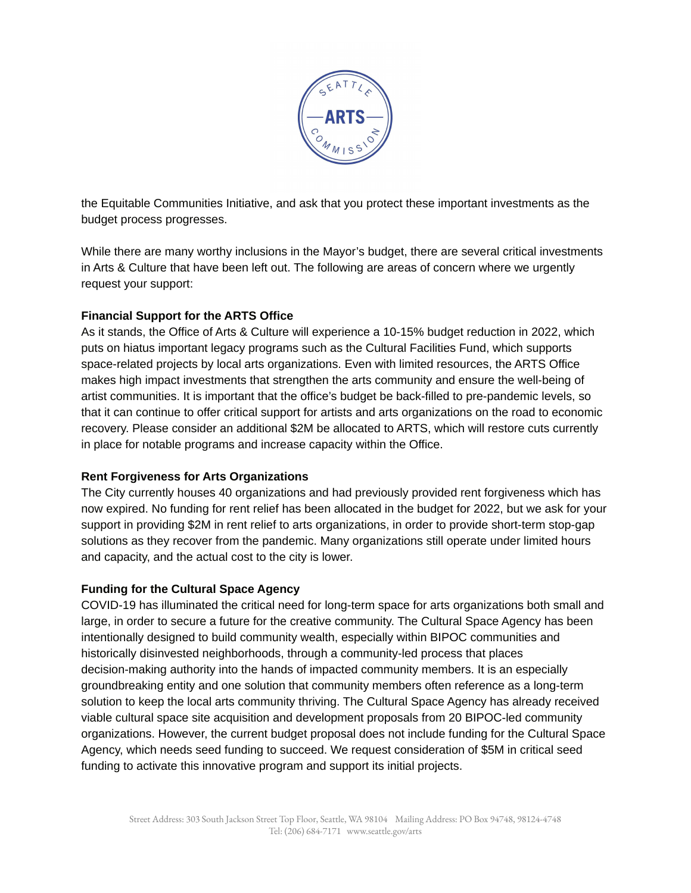

the Equitable Communities Initiative, and ask that you protect these important investments as the budget process progresses.

While there are many worthy inclusions in the Mayor's budget, there are several critical investments in Arts & Culture that have been left out. The following are areas of concern where we urgently request your support:

## **Financial Support for the ARTS Office**

As it stands, the Office of Arts & Culture will experience a 10-15% budget reduction in 2022, which puts on hiatus important legacy programs such as the Cultural Facilities Fund, which supports space-related projects by local arts organizations. Even with limited resources, the ARTS Office makes high impact investments that strengthen the arts community and ensure the well-being of artist communities. It is important that the office's budget be back-filled to pre-pandemic levels, so that it can continue to offer critical support for artists and arts organizations on the road to economic recovery. Please consider an additional \$2M be allocated to ARTS, which will restore cuts currently in place for notable programs and increase capacity within the Office.

## **Rent Forgiveness for Arts Organizations**

The City currently houses 40 organizations and had previously provided rent forgiveness which has now expired. No funding for rent relief has been allocated in the budget for 2022, but we ask for your support in providing \$2M in rent relief to arts organizations, in order to provide short-term stop-gap solutions as they recover from the pandemic. Many organizations still operate under limited hours and capacity, and the actual cost to the city is lower.

## **Funding for the Cultural Space Agency**

COVID-19 has illuminated the critical need for long-term space for arts organizations both small and large, in order to secure a future for the creative community. The Cultural Space Agency has been intentionally designed to build community wealth, especially within BIPOC communities and historically disinvested neighborhoods, through a community-led process that places decision-making authority into the hands of impacted community members. It is an especially groundbreaking entity and one solution that community members often reference as a long-term solution to keep the local arts community thriving. The Cultural Space Agency has already received viable cultural space site acquisition and development proposals from 20 BIPOC-led community organizations. However, the current budget proposal does not include funding for the Cultural Space Agency, which needs seed funding to succeed. We request consideration of \$5M in critical seed funding to activate this innovative program and support its initial projects.